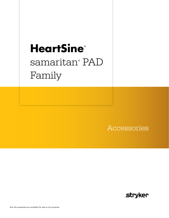# **HeartSine**®  samaritan® PAD Family

Accessories

**stryker**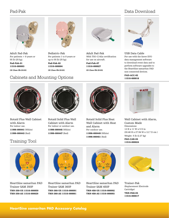## Pad-Pak

## Data Download



Adult Pad-Pak For patients > 8 years or 55 lb (25 kg).

Pad-Pak-01 11516-000003 CE Class Ilb (0123)



Pediatric-Pak For patients 1 to 8 years or up to 55 lb (25 kg). Pad-Pak-02

11516-000004 CE Class Ilb (0123)



Adult Pad-Pak With TSO-C142a certification for use on aircraft. Pad-Pak-07 11516-000027

CE Class Ilb (0123)



USB Data Cable For use with the Saver EVO data management software to download event data and to perform software upgrades to the HeartSine samaritan PAD non-connected devices.

PAD-ACC-02<br>
PAD-ACC-02 11516-000018



Rotaid Plus Wall Cabinet with Alarm For indoor use. 11996-000441 (White) 11996-000443 (Red)

Rotaid Solid Plus Wall Cabinet with Alarm For indoor or outdoor use. 11996-000445 (White) 11996-000447 (Red)



Rotaid Solid Plus Heat Wall Cabinet with Heat and Alarm For outdoor use. 11996-000449 (White) 11996-000451 (Red)



Wall Cabinet with Alarm, Custom Made Dimensions: 12 H x 11 W x 5 D in (30.48 H x 27.94 W x 12.7 D cm ) Weight: 5 lb (2.27 kg)

PAD-CAB-04 Training Tool 11516-000024



HeartSine samaritan PAD Trainer SAM 350P TRN-350-US 11516-000059 TRN-350-AS 11516-000029



HeartSine samaritan PAD Trainer SAM 360P TRN-360-US 11516-000091 TRN-360-AS 11516-000061



HeartSine samaritan PAD Trainer SAM 450P TRN-450-US 11516-000092 TRN-450-AS 11516-000093



Trainer-Pak (Replacement Electrode Cartridge) TRN-PAK-04 11516-000017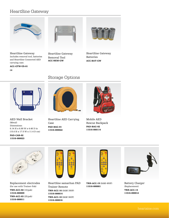## HeartSine Gateway



HeartSine Gateway Includes removal tool, batteries and HeartSine Connected AED carrying case.

ACC-GTW-US-01

CE



HeartSine Gateway Removal Tool ACC-REM-GW



HeartSine Gateway Batteries ACC-BAT-GW



AED Wall Bracket (Metal) Dimensions: 6.14 H x 6.88 W x 4.48 D in (15.6 H x 17.5 W x 11.4 D cm)

PAD-CAB-02 11516-000023

## Storage Options



HeartSine AED Carrying Case PAD-BAG-01 11516-000022



Mobile AED Rescue Backpack PAD-BAG-02 11516-000114



Replacement electrodes (for use with Trainer-Pak) TRN-ACC-02 (10/pak) 11516-000009 TRN-ACC-03 (25/pak) 11516-000011



HeartSine samaritan PAD Trainer Remote TRN-ACC-16 (SAM 350P) 11516-000014 TRN-ACC-18 (SAM 360P) 11516-000016



TRN-ACC-19 (SAM 450P) 11516-000001



Battery Charger (Replacement) TRN-ACC-14 11516-000012